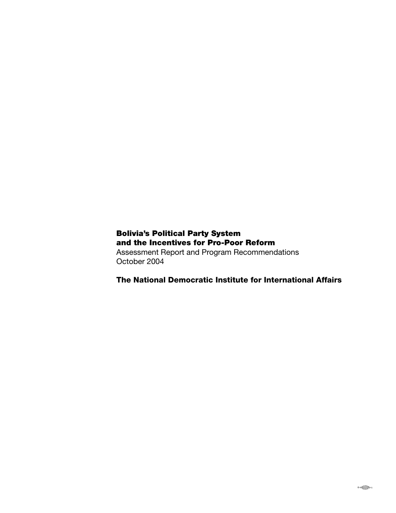# Bolivia's Political Party System and the Incentives for Pro-Poor Reform

Assessment Report and Program Recommendations October 2004

The National Democratic Institute for International Affairs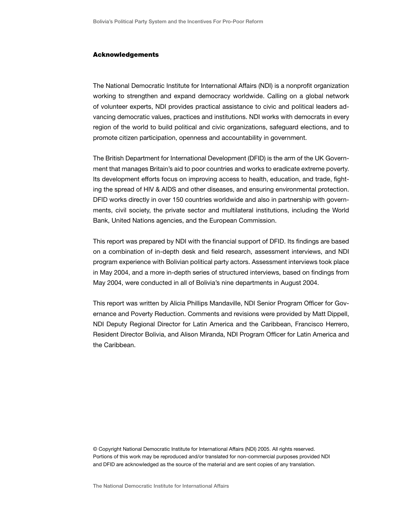#### Acknowledgements

The National Democratic Institute for International Affairs (NDI) is a nonprofit organization working to strengthen and expand democracy worldwide. Calling on a global network of volunteer experts, NDI provides practical assistance to civic and political leaders advancing democratic values, practices and institutions. NDI works with democrats in every region of the world to build political and civic organizations, safeguard elections, and to promote citizen participation, openness and accountability in government.

The British Department for International Development (DFID) is the arm of the UK Government that manages Britain's aid to poor countries and works to eradicate extreme poverty. Its development efforts focus on improving access to health, education, and trade, fighting the spread of HIV & AIDS and other diseases, and ensuring environmental protection. DFID works directly in over 150 countries worldwide and also in partnership with governments, civil society, the private sector and multilateral institutions, including the World Bank, United Nations agencies, and the European Commission.

This report was prepared by NDI with the financial support of DFID. Its findings are based on a combination of in-depth desk and field research, assessment interviews, and NDI program experience with Bolivian political party actors. Assessment interviews took place in May 2004, and a more in-depth series of structured interviews, based on findings from May 2004, were conducted in all of Bolivia's nine departments in August 2004.

This report was written by Alicia Phillips Mandaville, NDI Senior Program Officer for Governance and Poverty Reduction. Comments and revisions were provided by Matt Dippell, NDI Deputy Regional Director for Latin America and the Caribbean, Francisco Herrero, Resident Director Bolivia, and Alison Miranda, NDI Program Officer for Latin America and the Caribbean.

© Copyright National Democratic Institute for International Affairs (NDI) 2005. All rights reserved. Portions of this work may be reproduced and/or translated for non-commercial purposes provided NDI and DFID are acknowledged as the source of the material and are sent copies of any translation.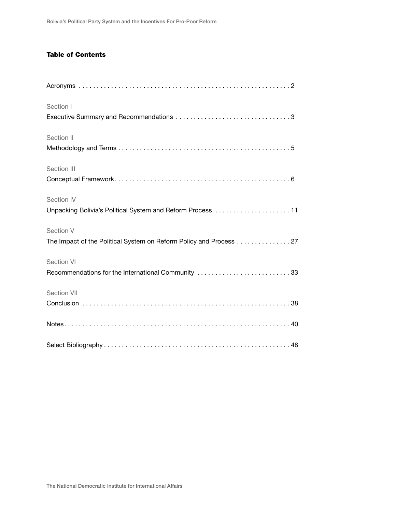## **Table of Contents**

| Section I                                                          |
|--------------------------------------------------------------------|
|                                                                    |
| Section II                                                         |
|                                                                    |
| Section III                                                        |
|                                                                    |
| Section IV                                                         |
| Unpacking Bolivia's Political System and Reform Process 11         |
| Section V                                                          |
| The Impact of the Political System on Reform Policy and Process 27 |
| Section VI                                                         |
| Recommendations for the International Community 33                 |
| Section VII                                                        |
|                                                                    |
|                                                                    |
|                                                                    |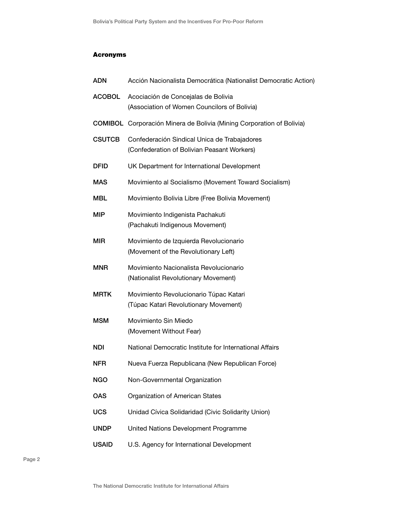## Acronyms

| <b>ADN</b>    | Acción Nacionalista Democrática (Nationalist Democratic Action)                             |
|---------------|---------------------------------------------------------------------------------------------|
| <b>ACOBOL</b> | Acociación de Concejalas de Bolivia<br>(Association of Women Councilors of Bolivia)         |
|               | <b>COMIBOL</b> Corporación Minera de Bolivia (Mining Corporation of Bolivia)                |
| <b>CSUTCB</b> | Confederación Sindical Unica de Trabajadores<br>(Confederation of Bolivian Peasant Workers) |
| <b>DFID</b>   | UK Department for International Development                                                 |
| <b>MAS</b>    | Movimiento al Socialismo (Movement Toward Socialism)                                        |
| <b>MBL</b>    | Movimiento Bolivia Libre (Free Bolivia Movement)                                            |
| <b>MIP</b>    | Movimiento Indigenista Pachakuti<br>(Pachakuti Indigenous Movement)                         |
| <b>MIR</b>    | Movimiento de Izquierda Revolucionario<br>(Movement of the Revolutionary Left)              |
| <b>MNR</b>    | Movimiento Nacionalista Revolucionario<br>(Nationalist Revolutionary Movement)              |
| <b>MRTK</b>   | Movimiento Revolucionario Túpac Katari<br>(Túpac Katari Revolutionary Movement)             |
| <b>MSM</b>    | Movimiento Sin Miedo<br>(Movement Without Fear)                                             |
| NDI           | National Democratic Institute for International Affairs                                     |
| <b>NFR</b>    | Nueva Fuerza Republicana (New Republican Force)                                             |
| <b>NGO</b>    | Non-Governmental Organization                                                               |
| <b>OAS</b>    | Organization of American States                                                             |
| <b>UCS</b>    | Unidad Cívica Solidaridad (Civic Solidarity Union)                                          |
| <b>UNDP</b>   | United Nations Development Programme                                                        |
| <b>USAID</b>  |                                                                                             |

Page 2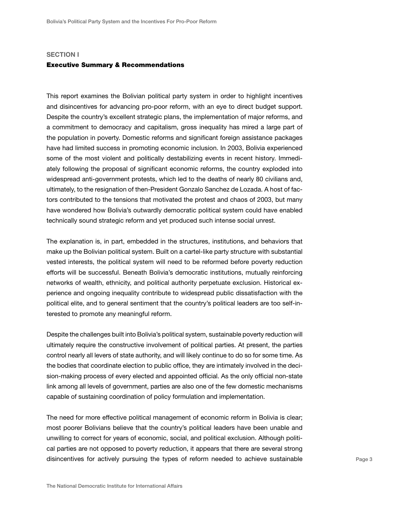### **SECTION I**

### Executive Summary & Recommendations

This report examines the Bolivian political party system in order to highlight incentives and disincentives for advancing pro-poor reform, with an eye to direct budget support. Despite the country's excellent strategic plans, the implementation of major reforms, and a commitment to democracy and capitalism, gross inequality has mired a large part of the population in poverty. Domestic reforms and significant foreign assistance packages have had limited success in promoting economic inclusion. In 2003, Bolivia experienced some of the most violent and politically destabilizing events in recent history. Immediately following the proposal of significant economic reforms, the country exploded into widespread anti-government protests, which led to the deaths of nearly 80 civilians and, ultimately, to the resignation of then-President Gonzalo Sanchez de Lozada. A host of factors contributed to the tensions that motivated the protest and chaos of 2003, but many have wondered how Bolivia's outwardly democratic political system could have enabled technically sound strategic reform and yet produced such intense social unrest.

The explanation is, in part, embedded in the structures, institutions, and behaviors that make up the Bolivian political system. Built on a cartel-like party structure with substantial vested interests, the political system will need to be reformed before poverty reduction efforts will be successful. Beneath Bolivia's democratic institutions, mutually reinforcing networks of wealth, ethnicity, and political authority perpetuate exclusion. Historical experience and ongoing inequality contribute to widespread public dissatisfaction with the political elite, and to general sentiment that the country's political leaders are too self-interested to promote any meaningful reform.

Despite the challenges built into Bolivia's political system, sustainable poverty reduction will ultimately require the constructive involvement of political parties. At present, the parties control nearly all levers of state authority, and will likely continue to do so for some time. As the bodies that coordinate election to public office, they are intimately involved in the decision-making process of every elected and appointed official. As the only official non-state link among all levels of government, parties are also one of the few domestic mechanisms capable of sustaining coordination of policy formulation and implementation.

The need for more effective political management of economic reform in Bolivia is clear; most poorer Bolivians believe that the country's political leaders have been unable and unwilling to correct for years of economic, social, and political exclusion. Although political parties are not opposed to poverty reduction, it appears that there are several strong disincentives for actively pursuing the types of reform needed to achieve sustainable